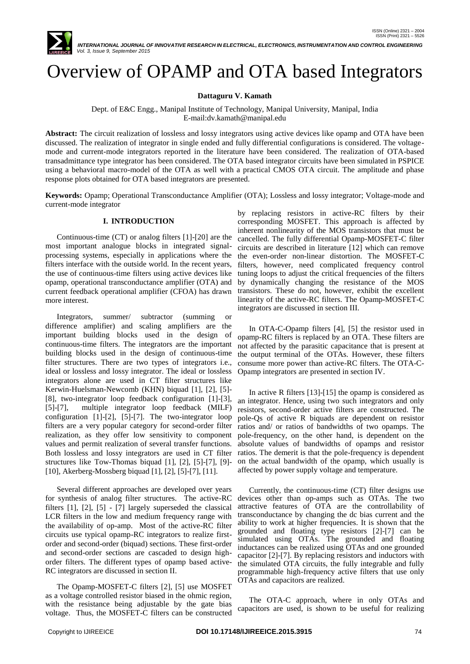

Overview of OPAMP and OTA based Integrators

**Dattaguru V. Kamath**

Dept. of E&C Engg., Manipal Institute of Technology, Manipal University, Manipal, India E-mail:dv.kamath@manipal.edu

**Abstract:** The circuit realization of lossless and lossy integrators using active devices like opamp and OTA have been discussed. The realization of integrator in single ended and fully differential configurations is considered. The voltagemode and current-mode integrators reported in the literature have been considered. The realization of OTA-based transadmittance type integrator has been considered. The OTA based integrator circuits have been simulated in PSPICE using a behavioral macro-model of the OTA as well with a practical CMOS OTA circuit. The amplitude and phase response plots obtained for OTA based integrators are presented.

**Keywords:** Opamp; Operational Transconductance Amplifier (OTA); Lossless and lossy integrator; Voltage-mode and current-mode integrator

## **I. INTRODUCTION**

Continuous-time (CT) or analog filters [1]-[20] are the most important analogue blocks in integrated signalprocessing systems, especially in applications where the filters interface with the outside world. In the recent years, the use of continuous-time filters using active devices like opamp, operational transconductance amplifier (OTA) and current feedback operational amplifier (CFOA) has drawn more interest.

Integrators, summer/ subtractor (summing or difference amplifier) and scaling amplifiers are the important building blocks used in the design of continuous-time filters. The integrators are the important building blocks used in the design of continuous-time filter structures. There are two types of integrators i.e., ideal or lossless and lossy integrator. The ideal or lossless integrators alone are used in CT filter structures like Kerwin-Huelsman-Newcomb (KHN) biquad [1], [2], [5]- [8], two-integrator loop feedback configuration [1]-[3], [5]-[7], multiple integrator loop feedback (MILF) configuration [1]-[2], [5]-[7]. The two-integrator loop filters are a very popular category for second-order filter realization, as they offer low sensitivity to component values and permit realization of several transfer functions. Both lossless and lossy integrators are used in CT filter ratios. The demerit is that the pole-frequency is dependent structures like Tow-Thomas biquad [1], [2], [5]-[7], [9]- [10], Akerberg-Mossberg biquad [1], [2], [5]-[7], [11].

Several different approaches are developed over years for synthesis of analog filter structures. The active-RC filters [1], [2], [5] - [7] largely superseded the classical LCR filters in the low and medium frequency range with the availability of op-amp. Most of the active-RC filter circuits use typical opamp-RC integrators to realize firstorder and second-order (biquad) sections. These first-order and second-order sections are cascaded to design highorder filters. The different types of opamp based active-RC integrators are discussed in section II.

The Opamp-MOSFET-C filters [2], [5] use MOSFET as a voltage controlled resistor biased in the ohmic region, with the resistance being adjustable by the gate bias voltage. Thus, the MOSFET-C filters can be constructed

by replacing resistors in active-RC filters by their corresponding MOSFET. This approach is affected by inherent nonlinearity of the MOS transistors that must be cancelled. The fully differential Opamp-MOSFET-C filter circuits are described in literature [12] which can remove the even-order non-linear distortion. The MOSFET-C filters, however, need complicated frequency control tuning loops to adjust the critical frequencies of the filters by dynamically changing the resistance of the MOS transistors. These do not, however, exhibit the excellent linearity of the active-RC filters. The Opamp-MOSFET-C integrators are discussed in section III.

In OTA-C-Opamp filters [4], [5] the resistor used in opamp-RC filters is replaced by an OTA. These filters are not affected by the parasitic capacitance that is present at the output terminal of the OTAs. However, these filters consume more power than active-RC filters. The OTA-C-Opamp integrators are presented in section IV.

In active R filters [13]-[15] the opamp is considered as an integrator. Hence, using two such integrators and only resistors, second-order active filters are constructed. The pole-Qs of active R biquads are dependent on resistor ratios and/ or ratios of bandwidths of two opamps. The pole-frequency, on the other hand, is dependent on the absolute values of bandwidths of opamps and resistor on the actual bandwidth of the opamp, which usually is affected by power supply voltage and temperature.

Currently, the continuous-time (CT) filter designs use devices other than op-amps such as OTAs. The two attractive features of OTA are the controllability of transconductance by changing the dc bias current and the ability to work at higher frequencies. It is shown that the grounded and floating type resistors [2]-[7] can be simulated using OTAs. The grounded and floating inductances can be realized using OTAs and one grounded capacitor [2]-[7]. By replacing resistors and inductors with the simulated OTA circuits, the fully integrable and fully programmable high-frequency active filters that use only OTAs and capacitors are realized.

The OTA-C approach, where in only OTAs and capacitors are used, is shown to be useful for realizing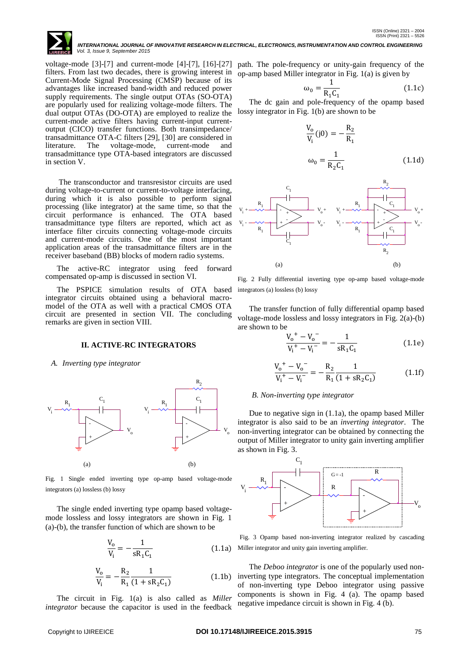

voltage-mode [3]-[7] and current-mode [4]-[7], [16]-[27] path. The pole-frequency or unity-gain frequency of the filters. From last two decades, there is growing interest in Current-Mode Signal Processing (CMSP) because of its advantages like increased band-width and reduced power supply requirements. The single output OTAs (SO-OTA) are popularly used for realizing voltage-mode filters. The dual output OTAs (DO-OTA) are employed to realize the current-mode active filters having current-input currentoutput (CICO) transfer functions. Both transimpedance/ transadmittance OTA-C filters [29], [30] are considered in literature. The voltage-mode, current-mode and transadmittance type OTA-based integrators are discussed in section V.

The transconductor and transresistor circuits are used during voltage-to-current or current-to-voltage interfacing, during which it is also possible to perform signal processing (like integrator) at the same time, so that the circuit performance is enhanced. The OTA based transadmittance type filters are reported, which act as interface filter circuits connecting voltage-mode circuits and current-mode circuits. One of the most important application areas of the transadmittance filters are in the receiver baseband (BB) blocks of modern radio systems.

The active-RC integrator using feed forward compensated op-amp is discussed in section VI.

The PSPICE simulation results of OTA based integrators (a) lossless (b) lossy integrator circuits obtained using a behavioral macromodel of the OTA as well with a practical CMOS OTA circuit are presented in section VII. The concluding remarks are given in section VIII.

### **II. ACTIVE-RC INTEGRATORS**

#### *A. Inverting type integrator*



Fig. 1 Single ended inverting type op-amp based voltage-mode integrators (a) lossless (b) lossy

The single ended inverting type opamp based voltagemode lossless and lossy integrators are shown in Fig. 1 (a)-(b), the transfer function of which are shown to be

$$
\frac{V_o}{V_i} = -\frac{1}{sR_1C_1}
$$
 (1.1a)

$$
\frac{V_o}{V_i} = -\frac{R_2}{R_1} \frac{1}{(1 + sR_2C_1)}
$$
(1.1b)

The circuit in Fig. 1(a) is also called as *Miller integrator* because the capacitor is used in the feedback

op-amp based Miller integrator in Fig. 1(a) is given by

$$
\omega_0 = \frac{1}{R_1 C_1} \tag{1.1c}
$$

The dc gain and pole-frequency of the opamp based lossy integrator in Fig. 1(b) are shown to be

$$
\frac{V_o}{V_i}(j0) = -\frac{R_2}{R_1}
$$
  
\n
$$
\omega_0 = \frac{1}{R_2 C_1}
$$
 (1.1d)



Fig. 2 Fully differential inverting type op-amp based voltage-mode

The transfer function of fully differential opamp based voltage-mode lossless and lossy integrators in Fig. 2(a)-(b) are shown to be

$$
\frac{V_0^+ - V_0^-}{V_i^+ - V_i^-} = -\frac{1}{sR_1C_1}
$$
 (1.1e)

$$
\frac{V_0^+ - V_0^-}{V_1^+ - V_1^-} = -\frac{R_2}{R_1} \frac{1}{(1 + sR_2C_1)}
$$
(1.1f)

#### *B. Non-inverting type integrator*

Due to negative sign in (1.1a), the opamp based Miller integrator is also said to be an *inverting integrator*. The non-inverting integrator can be obtained by connecting the output of Miller integrator to unity gain inverting amplifier as shown in Fig. 3.



Fig. 3 Opamp based non-inverting integrator realized by cascading Miller integrator and unity gain inverting amplifier.

The *Deboo integrator* is one of the popularly used noninverting type integrators. The conceptual implementation of non-inverting type Deboo integrator using passive components is shown in Fig. 4 (a). The opamp based negative impedance circuit is shown in Fig. 4 (b).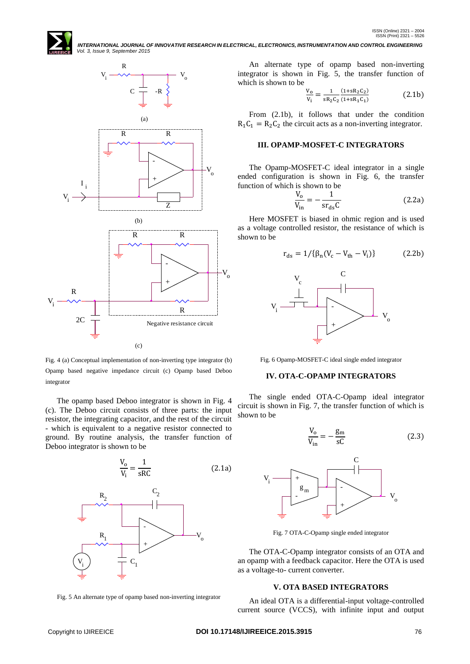

 *Vol. 3, Issue 9, September 2015*

Fig. 4 (a) Conceptual implementation of non-inverting type integrator (b) Opamp based negative impedance circuit (c) Opamp based Deboo integrator

The opamp based Deboo integrator is shown in Fig. 4 (c). The Deboo circuit consists of three parts: the input resistor, the integrating capacitor, and the rest of the circuit - which is equivalent to a negative resistor connected to ground. By routine analysis, the transfer function of Deboo integrator is shown to be



Fig. 5 An alternate type of opamp based non-inverting integrator

An alternate type of opamp based non-inverting integrator is shown in Fig. 5, the transfer function of which is shown to be

 *INTERNATIONAL JOURNAL OF INNOVATIVE RESEARCH IN ELECTRICAL, ELECTRONICS, INSTRUMENTATION AND CONTROL ENGINEERING*

$$
\frac{V_0}{V_i} = \frac{1}{sR_2C_2} \frac{(1+sR_2C_2)}{(1+sR_1C_1)}\tag{2.1b}
$$

From (2.1b), it follows that under the condition  $R_1C_1 = R_2C_2$  the circuit acts as a non-inverting integrator.

## **III. OPAMP-MOSFET-C INTEGRATORS**

The Opamp-MOSFET-C ideal integrator in a single ended configuration is shown in Fig. 6, the transfer function of which is shown to be

$$
\frac{V_o}{V_{in}} = -\frac{1}{sr_{ds}C}
$$
 (2.2a)

Here MOSFET is biased in ohmic region and is used as a voltage controlled resistor, the resistance of which is shown to be

$$
r_{ds} = 1/\{\beta_n (V_c - V_{th} - V_i)\}\tag{2.2b}
$$



Fig. 6 Opamp-MOSFET-C ideal single ended integrator

# **IV. OTA-C-OPAMP INTEGRATORS**

The single ended OTA-C-Opamp ideal integrator circuit is shown in Fig. 7, the transfer function of which is shown to be

$$
\frac{V_o}{V_{in}} = -\frac{g_m}{sC}
$$
 (2.3)



Fig. 7 OTA-C-Opamp single ended integrator

The OTA-C-Opamp integrator consists of an OTA and an opamp with a feedback capacitor. Here the OTA is used as a voltage-to- current converter.

# **V. OTA BASED INTEGRATORS**

An ideal OTA is a differential-input voltage-controlled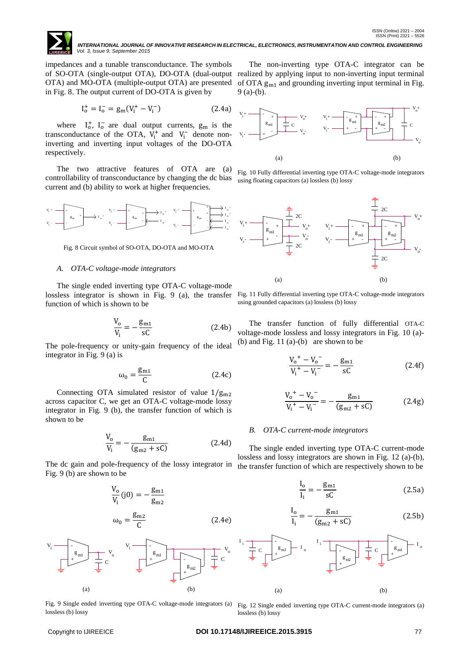

impedances and a tunable transconductance. The symbols of SO-OTA (single-output OTA), DO-OTA (dual-output realized by applying input to non-inverting input terminal OTA) and MO-OTA (multiple-output OTA) are presented in Fig. 8. The output current of DO-OTA is given by

$$
I_o^+ = I_o^- = g_m (V_i^+ - V_i^-) \tag{2.4a}
$$

where  $I_0^+$ ,  $I_0^-$  are dual output currents,  $g_m$  is the transconductance of the OTA,  $V_i^+$  and  $V_i^-$  denote noninverting and inverting input voltages of the DO-OTA respectively.

The two attractive features of OTA are (a) controllability of transconductance by changing the dc bias current and (b) ability to work at higher frequencies.



Fig. 8 Circuit symbol of SO-OTA, DO-OTA and MO-OTA

#### *A. OTA-C voltage-mode integrators*

The single ended inverting type OTA-C voltage-mode lossless integrator is shown in Fig. 9 (a), the transfer function of which is shown to be

$$
\frac{V_o}{V_i} = -\frac{g_{m1}}{sC}
$$
 (2.4b)

The pole-frequency or unity-gain frequency of the ideal integrator in Fig. 9 (a) is

$$
\omega_0 = \frac{\mathbf{g}_{\mathrm{m1}}}{\mathbf{C}} \tag{2.4c}
$$

Connecting OTA simulated resistor of value  $1/g_{\text{m2}}$ across capacitor C, we get an OTA-C voltage-mode lossy integrator in Fig. 9 (b), the transfer function of which is shown to be

$$
\frac{V_o}{V_i} = -\frac{g_{m1}}{(g_{m2} + sC)}
$$
 (2.4d)

The dc gain and pole-frequency of the lossy integrator in Fig. 9 (b) are shown to be





Fig. 9 Single ended inverting type OTA-C voltage-mode integrators (a) Fig. 12 Single ended inverting type OTA-C current-mode integrators (a) lossless (b) lossy

The non-inverting type OTA-C integrator can be of OTA  $g_{m1}$  and grounding inverting input terminal in Fig. 9 (a)-(b).



Fig. 10 Fully differential inverting type OTA-C voltage-mode integrators using floating capacitors (a) lossless (b) lossy



Fig. 11 Fully differential inverting type OTA-C voltage-mode integrators using grounded capacitors (a) lossless (b) lossy

The transfer function of fully differential OTA-C voltage-mode lossless and lossy integrators in Fig. 10 (a)- (b) and Fig. 11 (a)-(b) are shown to be

$$
\frac{V_0^+ - V_0^-}{V_i^+ - V_i^-} = -\frac{g_{m1}}{sC}
$$
 (2.4f)

$$
\frac{V_0^{\ +} - V_0^{\ -}}{V_1^{\ +} - V_1^{\ -}} = -\frac{g_{m1}}{(g_{m2} + sC)}
$$
(2.4g)

### *B. OTA-C current-mode integrators*

The single ended inverting type OTA-C current-mode lossless and lossy integrators are shown in Fig. 12 (a)-(b), the transfer function of which are respectively shown to be

$$
\frac{I_o}{I_i} = -\frac{g_{m1}}{sC}
$$
 (2.5a)

$$
\frac{I_o}{I_i} = -\frac{g_{m1}}{(g_{m2} + sC)}
$$
 (2.5b)



lossless (b) lossy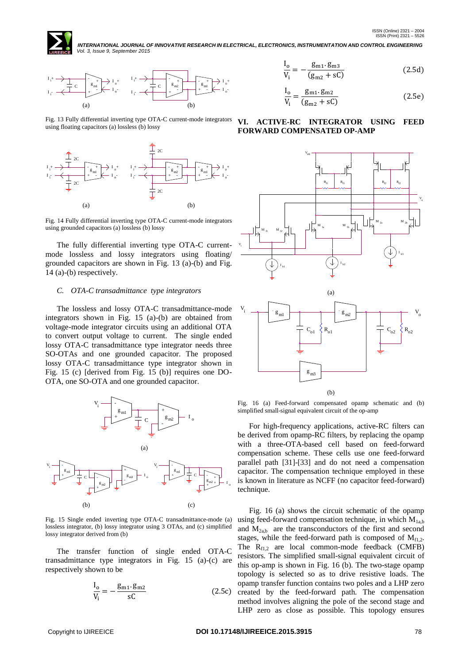



Fig. 13 Fully differential inverting type OTA-C current-mode integrators using floating capacitors (a) lossless (b) lossy



Fig. 14 Fully differential inverting type OTA-C current-mode integrators using grounded capacitors (a) lossless (b) lossy

The fully differential inverting type OTA-C currentmode lossless and lossy integrators using floating/ grounded capacitors are shown in Fig. 13 (a)-(b) and Fig. 14 (a)-(b) respectively.

# *C. OTA-C transadmittance type integrators*

The lossless and lossy OTA-C transadmittance-mode integrators shown in Fig. 15 (a)-(b) are obtained from voltage-mode integrator circuits using an additional OTA to convert output voltage to current. The single ended lossy OTA-C transadmittance type integrator needs three SO-OTAs and one grounded capacitor. The proposed lossy OTA-C transadmittance type integrator shown in Fig. 15 (c) [derived from Fig. 15 (b)] requires one DO-OTA, one SO-OTA and one grounded capacitor.



Fig. 15 Single ended inverting type OTA-C transadmittance-mode (a) lossless integrator, (b) lossy integrator using 3 OTAs, and (c) simplified lossy integrator derived from (b)

The transfer function of single ended OTA-C transadmittance type integrators in Fig. 15 (a)-(c) are respectively shown to be

$$
\frac{I_o}{V_i} = -\frac{g_{m1} \cdot g_{m2}}{sC}
$$
 (2.5c)

$$
\frac{I_o}{V_i} = -\frac{g_{m1} \cdot g_{m3}}{(g_{m2} + sC)}
$$
 (2.5d)

$$
\frac{I_o}{V_i} = \frac{g_{m1} \cdot g_{m2}}{(g_{m2} + sC)}
$$
 (2.5e)

# **VI. ACTIVE-RC INTEGRATOR USING FEED FORWARD COMPENSATED OP-AMP**



Fig. 16 (a) Feed-forward compensated opamp schematic and (b) simplified small-signal equivalent circuit of the op-amp

For high-frequency applications, active-RC filters can be derived from opamp-RC filters, by replacing the opamp with a three-OTA-based cell based on feed-forward compensation scheme. These cells use one feed-forward parallel path [31]-[33] and do not need a compensation capacitor. The compensation technique employed in these is known in literature as NCFF (no capacitor feed-forward) technique.

Fig. 16 (a) shows the circuit schematic of the opamp using feed-forward compensation technique, in which  $M_{1a,b}$ and  $M<sub>2ab</sub>$  are the transconductors of the first and second stages, while the feed-forward path is composed of  $M_{f1,2}$ . The  $R_{f1,2}$  are local common-mode feedback (CMFB) resistors. The simplified small-signal equivalent circuit of this op-amp is shown in Fig. 16 (b). The two-stage opamp topology is selected so as to drive resistive loads. The opamp transfer function contains two poles and a LHP zero created by the feed-forward path. The compensation method involves aligning the pole of the second stage and LHP zero as close as possible. This topology ensures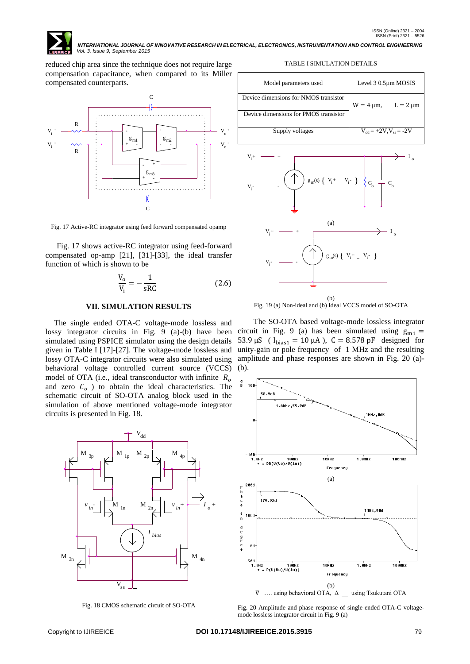

reduced chip area since the technique does not require large compensation capacitance, when compared to its Miller compensated counterparts.



Fig. 17 Active-RC integrator using feed forward compensated opamp

Fig. 17 shows active-RC integrator using feed-forward compensated op-amp [21], [31]-[33], the ideal transfer function of which is shown to be

$$
\frac{V_o}{V_i} = -\frac{1}{sRC}
$$
 (2.6)

### **VII. SIMULATION RESULTS**

The single ended OTA-C voltage-mode lossless and lossy integrator circuits in Fig. 9 (a)-(b) have been simulated using PSPICE simulator using the design details given in Table I [17]-[27]. The voltage-mode lossless and lossy OTA-C integrator circuits were also simulated using behavioral voltage controlled current source (VCCS) model of OTA (i.e., ideal transconductor with infinite  $R_0$ and zero  $C_0$  ) to obtain the ideal characteristics. The schematic circuit of SO-OTA analog block used in the simulation of above mentioned voltage-mode integrator circuits is presented in Fig. 18.



Fig. 18 CMOS schematic circuit of SO-OTA

TABLE I SIMULATION DETAILS

| Model parameters used                 | Level $30.5 \mu m$ MOSIS         |
|---------------------------------------|----------------------------------|
| Device dimensions for NMOS transistor | $L = 2 \mu m$<br>$W = 4 \mu m$ , |
| Device dimensions for PMOS transistor |                                  |
| Supply voltages                       | $V_{dd} = +2V$ , $V_{ss} = -2V$  |



Fig. 19 (a) Non-ideal and (b) Ideal VCCS model of SO-OTA

 The SO-OTA based voltage-mode lossless integrator circuit in Fig. 9 (a) has been simulated using  $g_{m1} =$ 53.9  $\mu$ S ( $I_{bias1} = 10 \mu$ A), C = 8.578 pF designed for unity-gain or pole frequency of 1 MHz and the resulting amplitude and phase responses are shown in Fig. 20 (a)- (b).



Fig. 20 Amplitude and phase response of single ended OTA-C voltagemode lossless integrator circuit in Fig. 9 (a)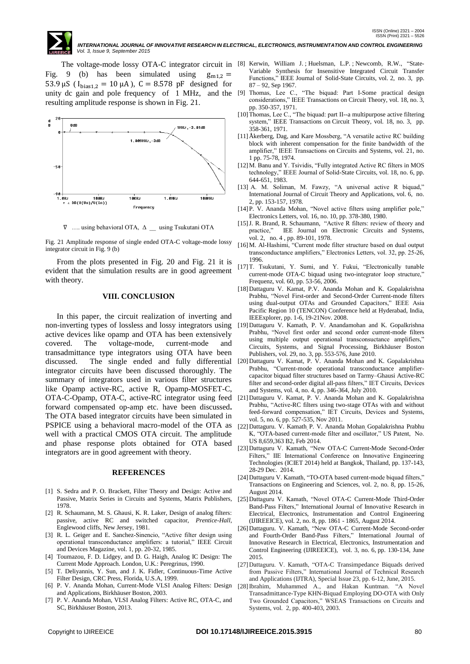Fig. 9 (b) has been simulated using  $g_{m12} =$ 53.9  $\mu$ S ( $I_{bias1,2} = 10 \mu$ A), C = 8.578 pF designed for resulting amplitude response is shown in Fig. 21.



∇ …. using behavioral OTA, Δ \_\_ using Tsukutani OTA

Fig. 21 Amplitude response of single ended OTA-C voltage-mode lossy integrator circuit in Fig. 9 (b)

From the plots presented in Fig. 20 and Fig. 21 it is evident that the simulation results are in good agreement with theory.

# **VIII. CONCLUSION**

In this paper, the circuit realization of inverting and non-inverting types of lossless and lossy integrators using active devices like opamp and OTA has been extensively covered. The voltage-mode, current-mode and transadmittance type integrators using OTA have been discussed. The single ended and fully differential integrator circuits have been discussed thoroughly. The summary of integrators used in various filter structures like Opamp active-RC, active R, Opamp-MOSFET-C, OTA-C-Opamp, OTA-C, active-RC integrator using feed forward compensated op-amp etc. have been discussed**.** The OTA based integrator circuits have been simulated in PSPICE using a behavioral macro-model of the OTA as well with a practical CMOS OTA circuit. The amplitude and phase response plots obtained for OTA based integrators are in good agreement with theory.

#### **REFERENCES**

- [1] S. Sedra and P. O. Brackett, Filter Theory and Design: Active and Passive, Matrix Series in Circuits and Systems, Matrix Publishers*,*  1978.
- [2] R. Schaumann, M. S. Ghausi, K. R. Laker, Design of analog filters: passive, active RC and switched capacitor, *Prentice-Hall*, Englewood cliffs, New Jersey, 1981.
- [3] R. L. Geiger and E. Sanchez-Sinencio, "Active filter design using operational transconductance amplifiers: a tutorial," IEEE Circuit and Devices Magazine, vol. 1, pp. 20-32, 1985.
- [4] Toumazou, F. D. Lidgey, and D. G. Haigh, Analog IC Design: The Current Mode Approach. London, U.K.: Peregrinus, 1990.
- [5] T. Deliyannis, Y. Sun, and J. K. Fidler, Continuous-Time Active Filter Design, CRC Press, Florida, U.S.A, 1999.
- [6] P. V. Ananda Mohan, Current-Mode VLSI Analog Filters: Design and Applications, Birkhäuser Boston, 2003.
- [7] P. V. Ananda Mohan, VLSI Analog Filters: Active RC, OTA-C, and SC, Birkhäuser Boston, 2013.
- The voltage-mode lossy OTA-C integrator circuit in [8] Kerwin, William J. ; Huelsman, L.P. ; Newcomb, R.W., "State-Variable Synthesis for Insensitive Integrated Circuit Transfer Functions," IEEE Journal of Solid-State Circuits, vol. 2, no. 3, pp. 87 – 92, Sep 1967.
- unity dc gain and pole frequency of 1 MHz, and the [9] Thomas, Lee C., "The biquad: Part I-Some practical design considerations," IEEE Transactions on Circuit Theory*,* vol. 18, no. 3, pp. 350-357, 1971.
	- [10]Thomas, Lee C., "The biquad: part II--a multipurpose active filtering system," IEEE Transactions on Circuit Theory, vol. 18, no. 3, pp. 358-361, 1971.
	- [11]Åkerberg, Dag, and Kare Mossberg, "A versatile active RC building block with inherent compensation for the finite bandwidth of the amplifier," IEEE Transactions on Circuits and Systems, vol. 21, no. 1 pp. 75-78, 1974.
	- [12]M. Banu and Y. Tsividis, "Fully integrated Active RC filters in MOS technology," IEEE Journal of Solid-State Circuits, vol. 18, no. 6, pp. 644-651, 1983.
	- [13] A. M. Soliman, M. Fawzy, "A universal active R biquad," International Journal of Circuit Theory and Applications, vol. 6, no. 2, pp. 153-157, 1978.
	- [14]P. V. Ananda Mohan, "Novel active filters using amplifier pole," Electronics Letters*,* vol. 16, no. 10, pp. 378-380, 1980.
	- [15] J. R. Brand, R. Schaumann, "Active R filters: review of theory and practice," IEE Journal on Electronic Circuits and Systems, vol. 2, no. 4 , pp. 89-101, 1978.
	- [16]M. Al-Hashimi, "Current mode filter structure based on dual output transconductance amplifiers," Electronics Letters, vol. 32, pp. 25-26, 1996.
	- [17]T. Tsukutani, Y. Sumi, and Y. Fukui, "Electronically tunable current-mode OTA-C biquad using two-integrator loop structure, Frequenz, vol. 60, pp. 53-56, 2006.
	- [18]Dattaguru V. Kamat, P.V. Ananda Mohan and K. Gopalakrishna Prabhu, "Novel First-order and Second-Order Current-mode filters using dual-output OTAs and Grounded Capacitors," IEEE Asia Pacific Region 10 (TENCON) Conference held at Hyderabad, India, IEEExplorer, pp. 1-6, 19-21Nov. 2008.
	- [19]Dattaguru V. Kamath, P. V. Anandamohan and K. Gopalkrishna Prabhu, "Novel first order and second order current-mode filters using multiple output operational transconsuctance amplifiers,' Circuits, Systems, and Signal Processing, Birkhäuser Boston Publishers, vol. 29, no. 3, pp. 553-576, June 2010.
	- [20]Dattaguru V. Kamat, P. V. Ananda Mohan and K. Gopalakrishna Prabhu, "Current-mode operational transconductance amplifiercapacitor biquad filter structures based on Tarmy–Ghausi Active-RC filter and second-order digital all-pass filters," IET Circuits, Devices and Systems, vol. 4, no. 4, pp. 346-364, July 2010.
	- [21]Dattaguru V. Kamat, P. V. Ananda Mohan and K. Gopalakrishna Prabhu, "Active-RC filters using two-stage OTAs with and without feed-forward compensation," IET Circuits, Devices and Systems, vol. 5, no. 6, pp. 527-535, Nov 2011.
	- [22]Dattaguru. V. Kamath, P. V. Ananda Mohan, Gopalakrishna Prabhu K, "OTA-based current-mode filter and oscillator," US Patent, No. US 8,659,363 B2, Feb 2014.
	- [23]Dattaguru V. Kamath, "New OTA-C Current-Mode Second-Order Filters," IIE International Conference on Innovative Engineering Technologies (ICIET 2014) held at Bangkok, Thailand, pp. 137-143, 28-29 Dec. 2014.
	- [24]Dattaguru V. Kamath, "TO-OTA based current-mode biquad filters," Transactions on Engineering and Sciences, vol. 2, no. 8, pp. 15-26, August 2014.
	- [25]Dattaguru V. Kamath, "Novel OTA-C Current-Mode Third-Order Band-Pass Filters," International Journal of Innovative Research in Electrical, Electronics, Instrumentation and Control Engineering (IJIREEICE), vol. 2, no. 8, pp. 1861 - 1865, August 2014.
	- [26]Dattaguru. V. Kamath, "New OTA-C Current-Mode Second-order and Fourth-Order Band-Pass Filters," International Journal of Innovative Research in Electrical, Electronics, Instrumentation and Control Engineering (IJIREEICE), vol. 3, no. 6, pp. 130-134, June 2015.
	- [27]Dattaguru. V. Kamath, "OTA-C Transimpedance Biquads derived from Passive Filters," International Journal of Technical Research and Applications (IJTRA), Special Issue 23, pp. 6-12, June, 2015.
	- [28]Ibrahim, Muhammed A., and Hakan Kuntman. "A Novel Transadmittance-Type KHN-Biquad Employing DO-OTA with Only Two Grounded Capacitors," WSEAS Transactions on Circuits and Systems, vol. 2, pp. 400-403, 2003.